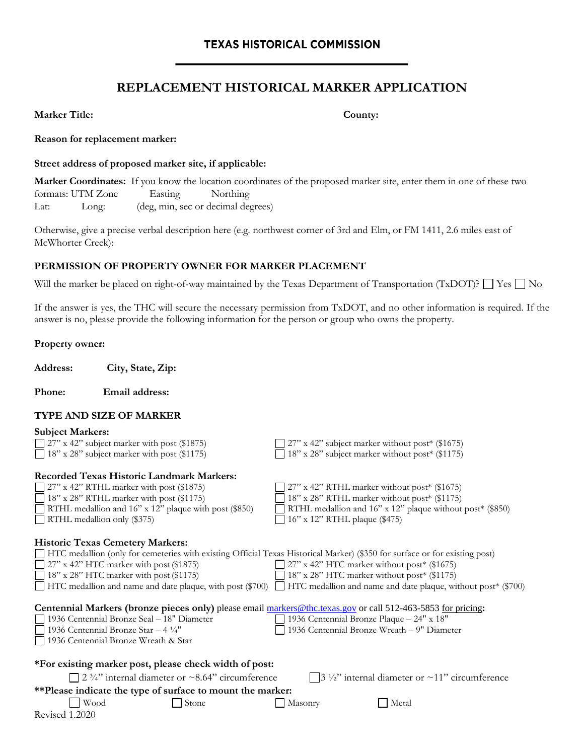# **REPLACEMENT HISTORICAL MARKER APPLICATION**

**Marker Title: County:**

**Reason for replacement marker:**

#### **Street address of proposed marker site, if applicable:**

**Marker Coordinates:** If you know the location coordinates of the proposed marker site, enter them in one of these two formats: UTM Zone Easting Northing Lat: Long: (deg, min, sec or decimal degrees)

Otherwise, give a precise verbal description here (e.g. northwest corner of 3rd and Elm, or FM 1411, 2.6 miles east of McWhorter Creek):

## **PERMISSION OF PROPERTY OWNER FOR MARKER PLACEMENT**

Will the marker be placed on right-of-way maintained by the Texas Department of Transportation (TxDOT)?  $\Box$  Yes  $\Box$  No

If the answer is yes, the THC will secure the necessary permission from TxDOT, and no other information is required. If the answer is no, please provide the following information for the person or group who owns the property.

#### **Property owner:**

**Address: City, State, Zip:** 

**Phone: Email address:** 

#### **TYPE AND SIZE OF MARKER**

| <b>Subject Markers:</b>                                                                                                     |                                                                                                                             |  |  |
|-----------------------------------------------------------------------------------------------------------------------------|-----------------------------------------------------------------------------------------------------------------------------|--|--|
| $\Box$ 27" x 42" subject marker with post (\$1875)                                                                          | $27$ " x 42" subject marker without post* (\$1675)                                                                          |  |  |
| 18" x 28" subject marker with post (\$1175)                                                                                 | 18" x 28" subject marker without post* (\$1175)                                                                             |  |  |
|                                                                                                                             |                                                                                                                             |  |  |
| <b>Recorded Texas Historic Landmark Markers:</b>                                                                            |                                                                                                                             |  |  |
| $\Box$ 27" x 42" RTHL marker with post (\$1875)                                                                             | 27" x 42" RTHL marker without post* (\$1675)                                                                                |  |  |
| 18" x 28" RTHL marker with post (\$1175)                                                                                    | 18" x 28" RTHL marker without post* (\$1175)                                                                                |  |  |
| RTHL medallion and 16" x 12" plaque with post (\$850)                                                                       | RTHL medallion and 16" x 12" plaque without post* (\$850)                                                                   |  |  |
| $\Box$ RTHL medallion only (\$375)                                                                                          | 16" x 12" RTHL plaque (\$475)                                                                                               |  |  |
|                                                                                                                             |                                                                                                                             |  |  |
| <b>Historic Texas Cemetery Markers:</b>                                                                                     |                                                                                                                             |  |  |
| HTC medallion (only for cemeteries with existing Official Texas Historical Marker) (\$350 for surface or for existing post) |                                                                                                                             |  |  |
| 27" x 42" HTC marker with post (\$1875)                                                                                     | $\Box$ 27" x 42" HTC marker without post* (\$1675)                                                                          |  |  |
| $\Box$ 18" x 28" HTC marker with post (\$1175)                                                                              | 18" x 28" HTC marker without post* (\$1175)                                                                                 |  |  |
|                                                                                                                             | □ HTC medallion and name and date plaque, with post (\$700) □ HTC medallion and name and date plaque, without post* (\$700) |  |  |
|                                                                                                                             |                                                                                                                             |  |  |
| Centennial Markers (bronze pieces only) please email markers@thc.texas.gov or call 512-463-5853 for pricing:                |                                                                                                                             |  |  |
| 1936 Centennial Bronze Seal - 18" Diameter                                                                                  | 1936 Centennial Bronze Plaque - 24" x 18"                                                                                   |  |  |
| 1936 Centennial Bronze Star $-4\frac{1}{4}$ "                                                                               | 1936 Centennial Bronze Wreath - 9" Diameter                                                                                 |  |  |
| 1936 Centennial Bronze Wreath & Star                                                                                        |                                                                                                                             |  |  |
|                                                                                                                             |                                                                                                                             |  |  |
| *For existing marker post, please check width of post:                                                                      |                                                                                                                             |  |  |
| 2 $\frac{3}{4}$ " internal diameter or ~8.64" circumference                                                                 | $\frac{3 \frac{1}{2}}{2}$ internal diameter or ~11" circumference                                                           |  |  |
| **Please indicate the type of surface to mount the marker:                                                                  |                                                                                                                             |  |  |
| Wood<br>Stone                                                                                                               |                                                                                                                             |  |  |
|                                                                                                                             | Metal<br>Masonry                                                                                                            |  |  |
| Revised 1.2020                                                                                                              |                                                                                                                             |  |  |